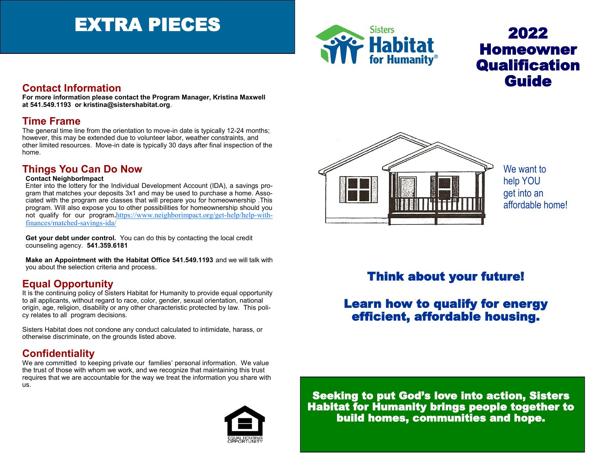# EXTRA PIECES



## 2022 Homeowner **Qualification Guide**

### **Contact Information**

**For more information please contact the Program Manager, Kristina Maxwell at 541.549.1193 or kristina@sistershabitat.org**.

#### **Time Frame**

The general time line from the orientation to move-in date is typically 12-24 months; however, this may be extended due to volunteer labor, weather constraints, and other limited resources. Move-in date is typically 30 days after final inspection of the home.

### **Things You Can Do Now**

#### **Contact NeighborImpact**

Enter into the lottery for the Individual Development Account (IDA), a savings program that matches your deposits 3x1 and may be used to purchase a home. Associated with the program are classes that will prepare you for homeownership .This program. Will also expose you to other possibilities for homeownership should you not qualify for our program**.**[https://www.neighborimpact.org/get](https://www.neighborimpact.org/get-help/help-with-finances/matched-savings-ida/)-help/help-with[finances/matched](https://www.neighborimpact.org/get-help/help-with-finances/matched-savings-ida/)-savings-ida/

**Get your debt under control.** You can do this by contacting the local credit counseling agency. **541.359.6181**

**Make an Appointment with the Habitat Office 541.549.1193** and we will talk with you about the selection criteria and process.

### **Equal Opportunity**

It is the continuing policy of Sisters Habitat for Humanity to provide equal opportunity to all applicants, without regard to race, color, gender, sexual orientation, national origin, age, religion, disability or any other characteristic protected by law. This policy relates to all program decisions.

Sisters Habitat does not condone any conduct calculated to intimidate, harass, or otherwise discriminate, on the grounds listed above.

## **Confidentiality**

We are committed to keeping private our families' personal information. We value the trust of those with whom we work, and we recognize that maintaining this trust requires that we are accountable for the way we treat the information you share with us.







We want to help YOU get into an affordable home!

## Think about your future!

## Learn how to qualify for energy efficient, affordable housing.